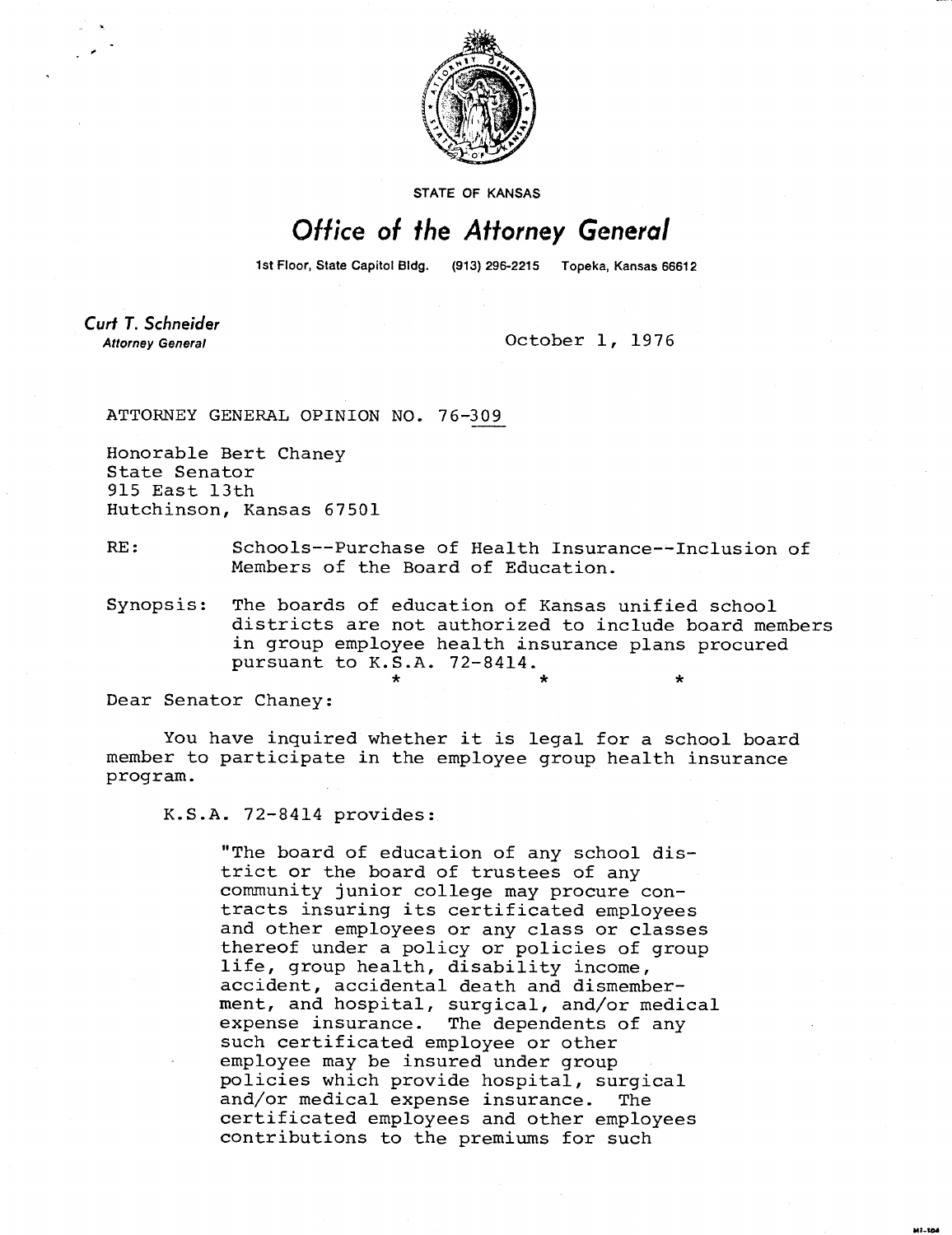

STATE OF KANSAS

## Office of the Attorney General

1st Floor, State Capitol Bldg. (913) 296-2215 Topeka, Kansas 66612

Curt T. Schneider **Attorney General** 

October 1, 1976

ATTORNEY GENERAL OPINION NO. 76-309

Honorable Bert Chaney State Senator 915 East 13th Hutchinson, Kansas 67501

RE: Schools--Purchase of Health Insurance--Inclusion of Members of the Board of Education.

Synopsis: The boards of education of Kansas unified school districts are not authorized to include board members in group employee health insurance plans procured pursuant to K.S.A. 72-8414.

Dear Senator Chaney:

You have inquired whether it is legal for a school board member to participate in the employee group health insurance program.

K.S.A. 72-8414 provides:

"The board of education of any school district or the board of trustees of any community junior college may procure contracts insuring its certificated employees and other employees or any class or classes thereof under a policy or policies of group life, group health, disability income, accident, accidental death and dismemberment, and hospital, surgical, and/or medical expense insurance. The dependents of any such certificated employee or other employee may be insured under group policies which provide hospital, surgical and/or medical expense insurance. The certificated employees and other employees contributions to the premiums for such

M1-104